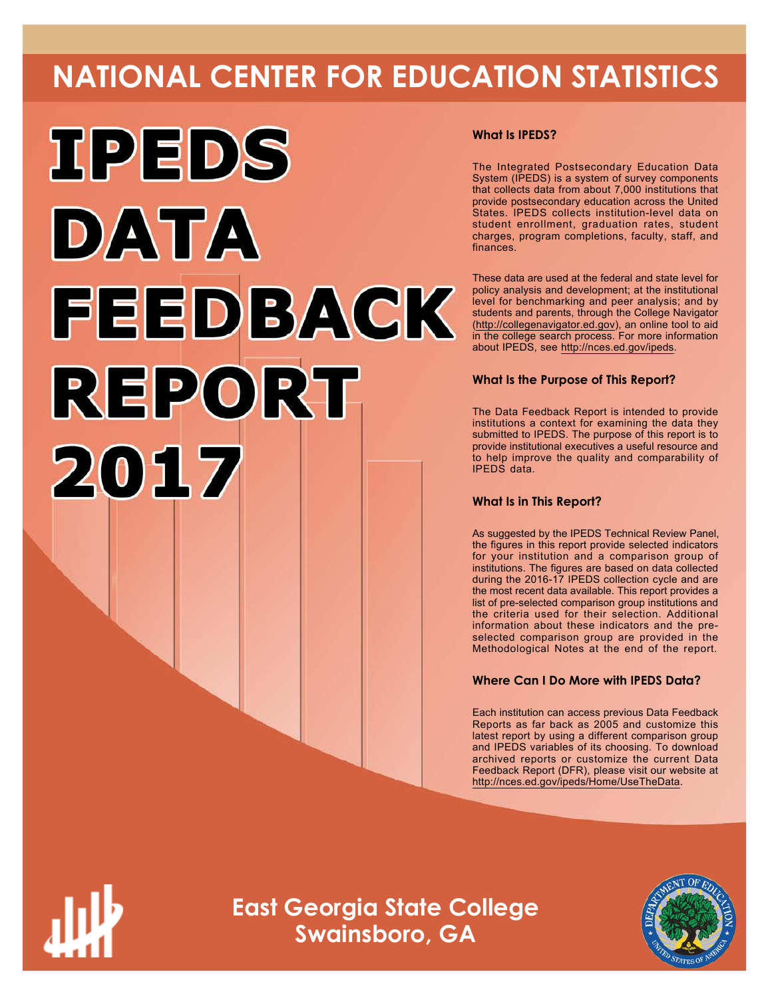# **NATIONAL CENTER FOR EDUCATION STATISTICS**



## **What Is IPEDS?**

The Integrated Postsecondary Education Data System (IPEDS) is a system of survey components that collects data from about 7,000 institutions that provide postsecondary education across the United States. IPEDS collects institution-level data on student enrollment, graduation rates, student charges, program completions, faculty, staff, and finances.

These data are used at the federal and state level for policy analysis and development; at the institutional level for benchmarking and peer analysis; and by students and parents, through the College Navigator ([http://collegenavigator.ed.gov\)](http://collegenavigator.ed.gov), an online tool to aid in the college search process. For more information about IPEDS, see [http://nces.ed.gov/ipeds.](http://nces.ed.gov/ipeds)

## **What Is the Purpose of This Report?**

The Data Feedback Report is intended to provide institutions a context for examining the data they submitted to IPEDS. The purpose of this report is to provide institutional executives a useful resource and to help improve the quality and comparability of IPEDS data.

## **What Is in This Report?**

As suggested by the IPEDS Technical Review Panel, the figures in this report provide selected indicators for your institution and a comparison group of institutions. The figures are based on data collected during the 2016-17 IPEDS collection cycle and are the most recent data available. This report provides a list of pre-selected comparison group institutions and the criteria used for their selection. Additional information about these indicators and the preselected comparison group are provided in the Methodological Notes at the end of the report.

## **Where Can I Do More with IPEDS Data?**

Each institution can access previous Data Feedback Reports as far back as 2005 and customize this latest report by using a different comparison group and IPEDS variables of its choosing. To download archived reports or customize the current Data Feedback Report (DFR), please visit our website at <http://nces.ed.gov/ipeds/Home/UseTheData>.



**East Georgia State College Swainsboro, GA**

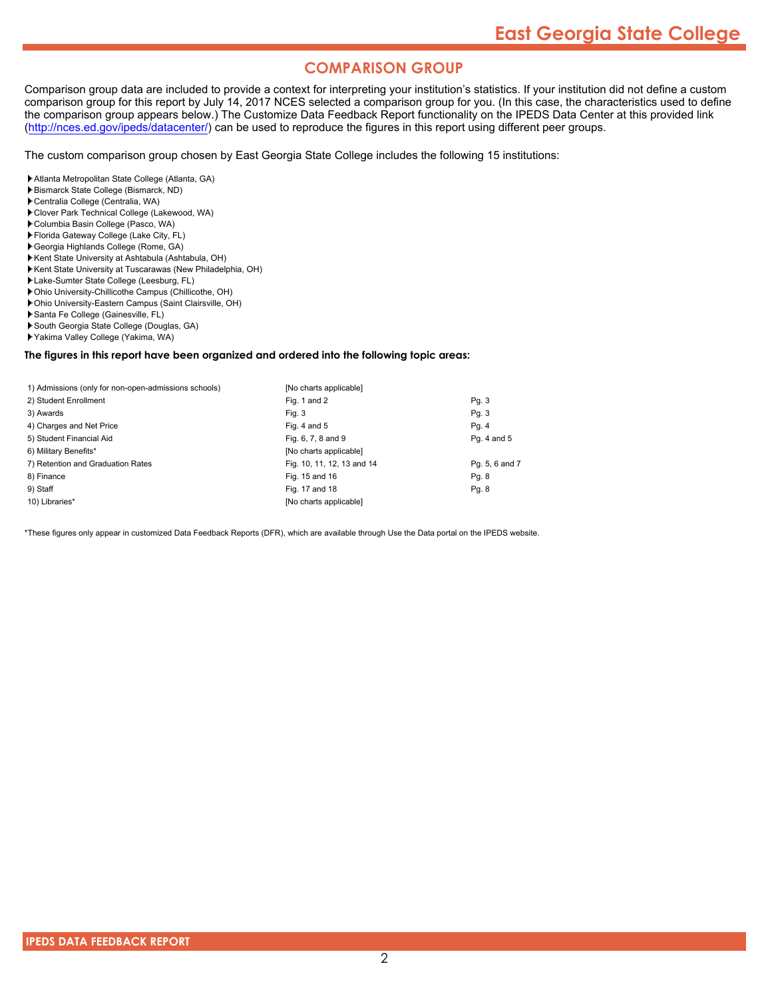## **COMPARISON GROUP**

Comparison group data are included to provide a context for interpreting your institution's statistics. If your institution did not define a custom comparison group for this report by July 14, 2017 NCES selected a comparison group for you. (In this case, the characteristics used to define the comparison group appears below.) The Customize Data Feedback Report functionality on the IPEDS Data Center at this provided link [\(http://nces.ed.gov/ipeds/datacenter/\)](http://nces.ed.gov/ipeds/datacenter/) can be used to reproduce the figures in this report using different peer groups.

The custom comparison group chosen by East Georgia State College includes the following 15 institutions:

- Atlanta Metropolitan State College (Atlanta, GA)
- Bismarck State College (Bismarck, ND)
- Centralia College (Centralia, WA)
- Clover Park Technical College (Lakewood, WA)
- Columbia Basin College (Pasco, WA)
- Florida Gateway College (Lake City, FL)
- Georgia Highlands College (Rome, GA)
- Kent State University at Ashtabula (Ashtabula, OH)
- Kent State University at Tuscarawas (New Philadelphia, OH)
- Lake-Sumter State College (Leesburg, FL)
- Ohio University-Chillicothe Campus (Chillicothe, OH)
- Ohio University-Eastern Campus (Saint Clairsville, OH)
- Santa Fe College (Gainesville, FL)
- South Georgia State College (Douglas, GA)
- Yakima Valley College (Yakima, WA)

### **The figures in this report have been organized and ordered into the following topic areas:**

| 1) Admissions (only for non-open-admissions schools) | [No charts applicable]     |                |
|------------------------------------------------------|----------------------------|----------------|
| 2) Student Enrollment                                | Fig. 1 and 2               | Pg.3           |
| 3) Awards                                            | Fig. 3                     | Pg. 3          |
| 4) Charges and Net Price                             | Fig. 4 and $5$             | Pg. 4          |
| 5) Student Financial Aid                             | Fig. 6, 7, 8 and 9         | Pg. 4 and 5    |
| 6) Military Benefits*                                | [No charts applicable]     |                |
| 7) Retention and Graduation Rates                    | Fig. 10, 11, 12, 13 and 14 | Pg. 5, 6 and 7 |
| 8) Finance                                           | Fig. 15 and 16             | Pg. 8          |
| 9) Staff                                             | Fig. 17 and 18             | Pg. 8          |
| 10) Libraries*                                       | [No charts applicable]     |                |

\*These figures only appear in customized Data Feedback Reports (DFR), which are available through Use the Data portal on the IPEDS website.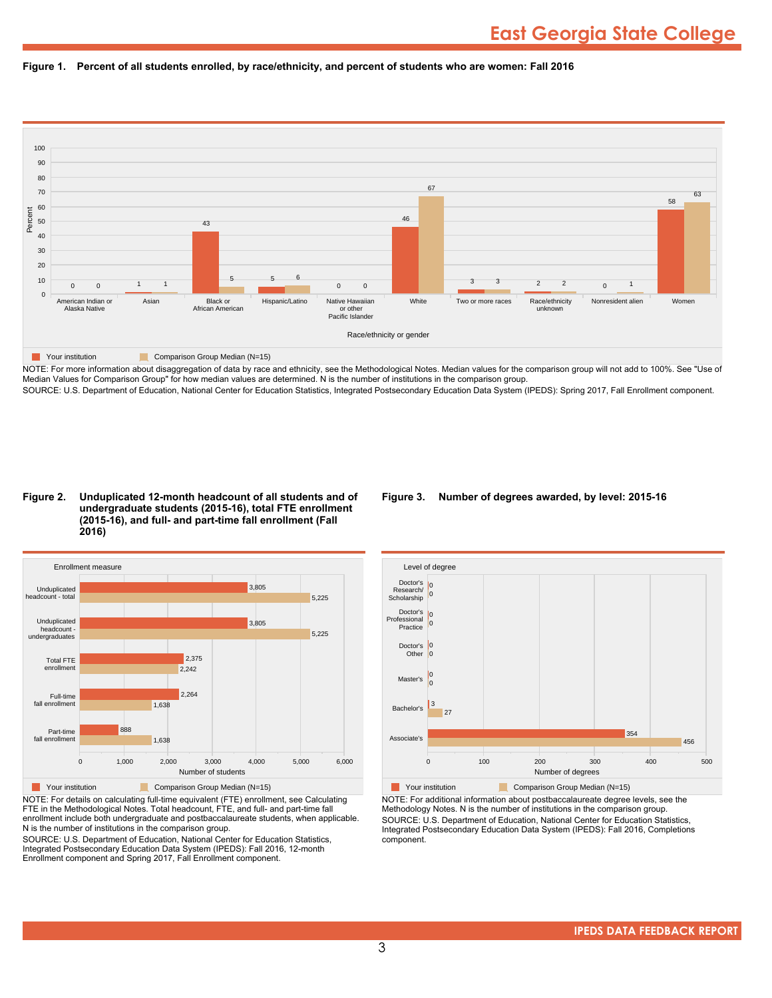



NOTE: For more information about disaggregation of data by race and ethnicity, see the Methodological Notes. Median values for the comparison group will not add to 100%. See "Use of Median Values for Comparison Group" for how median values are determined. N is the number of institutions in the comparison group. SOURCE: U.S. Department of Education, National Center for Education Statistics, Integrated Postsecondary Education Data System (IPEDS): Spring 2017, Fall Enrollment component.

#### **Figure 2. Unduplicated 12-month headcount of all students and of undergraduate students (2015-16), total FTE enrollment (2015-16), and full- and part-time fall enrollment (Fall 2016)**



NOTE: For details on calculating full-time equivalent (FTE) enrollment, see Calculating FTE in the Methodological Notes. Total headcount, FTE, and full- and part-time fall enrollment include both undergraduate and postbaccalaureate students, when applicable. N is the number of institutions in the comparison group.

SOURCE: U.S. Department of Education, National Center for Education Statistics, Integrated Postsecondary Education Data System (IPEDS): Fall 2016, 12-month Enrollment component and Spring 2017, Fall Enrollment component.

## **Figure 3. Number of degrees awarded, by level: 2015-16**



NOTE: For additional information about postbaccalaureate degree levels, see the Methodology Notes. N is the number of institutions in the comparison group. SOURCE: U.S. Department of Education, National Center for Education Statistics, Integrated Postsecondary Education Data System (IPEDS): Fall 2016, Completions component.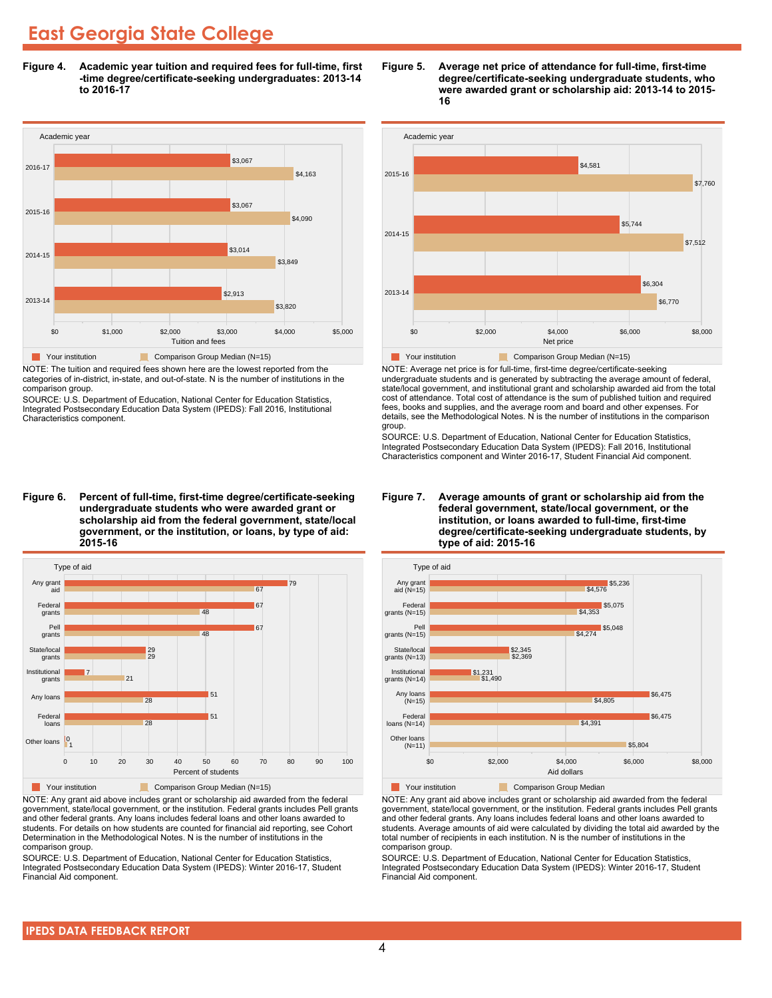**Figure 4. Academic year tuition and required fees for full-time, first -time degree/certificate-seeking undergraduates: 2013-14 to 2016-17**



NOTE: The tuition and required fees shown here are the lowest reported from the categories of in-district, in-state, and out-of-state. N is the number of institutions in the comparison group.

SOURCE: U.S. Department of Education, National Center for Education Statistics, Integrated Postsecondary Education Data System (IPEDS): Fall 2016, Institutional Characteristics component.

**Figure 6. Percent of full-time, first-time degree/certificate-seeking undergraduate students who were awarded grant or scholarship aid from the federal government, state/local government, or the institution, or loans, by type of aid: 2015-16**



NOTE: Any grant aid above includes grant or scholarship aid awarded from the federal government, state/local government, or the institution. Federal grants includes Pell grants and other federal grants. Any loans includes federal loans and other loans awarded to students. For details on how students are counted for financial aid reporting, see Cohort Determination in the Methodological Notes. N is the number of institutions in the comparison group.

SOURCE: U.S. Department of Education, National Center for Education Statistics, Integrated Postsecondary Education Data System (IPEDS): Winter 2016-17, Student Financial Aid component.





NOTE: Average net price is for full-time, first-time degree/certificate-seeking undergraduate students and is generated by subtracting the average amount of federal, state/local government, and institutional grant and scholarship awarded aid from the total cost of attendance. Total cost of attendance is the sum of published tuition and required fees, books and supplies, and the average room and board and other expenses. For details, see the Methodological Notes. N is the number of institutions in the comparison group.

SOURCE: U.S. Department of Education, National Center for Education Statistics, Integrated Postsecondary Education Data System (IPEDS): Fall 2016, Institutional Characteristics component and Winter 2016-17, Student Financial Aid component.





**The Comparison Group Median**<br> **Comparison Group Median** 

NOTE: Any grant aid above includes grant or scholarship aid awarded from the federal government, state/local government, or the institution. Federal grants includes Pell grants and other federal grants. Any loans includes federal loans and other loans awarded to students. Average amounts of aid were calculated by dividing the total aid awarded by the total number of recipients in each institution. N is the number of institutions in the comparison group.

SOURCE: U.S. Department of Education, National Center for Education Statistics, Integrated Postsecondary Education Data System (IPEDS): Winter 2016-17, Student Financial Aid component.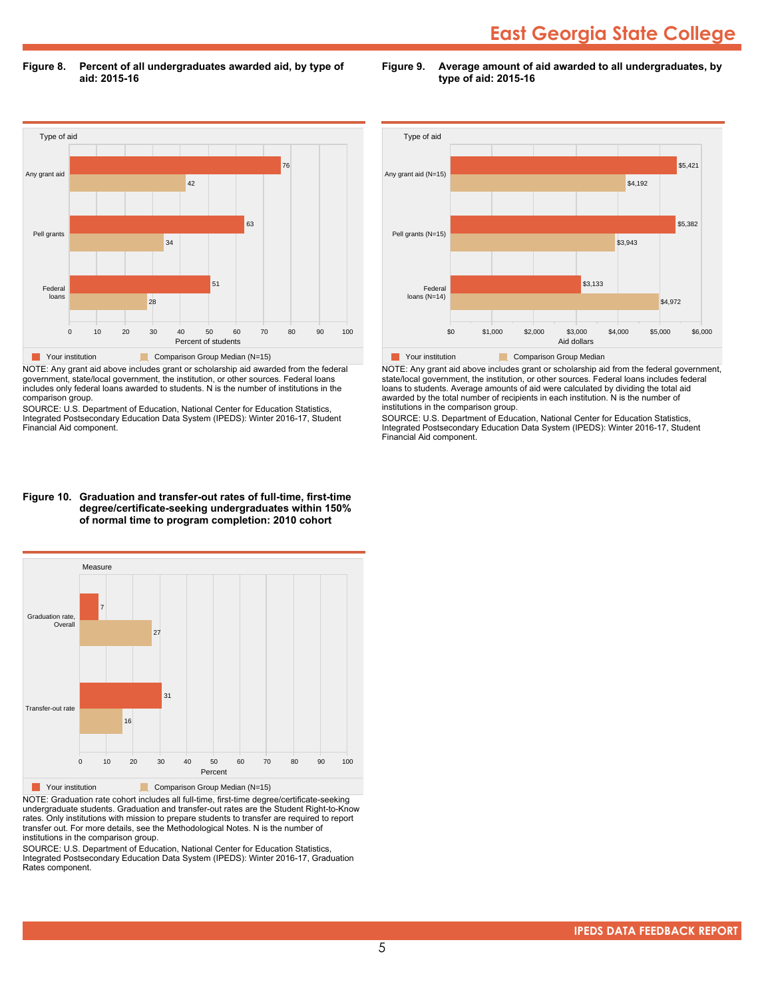**Figure 8. Percent of all undergraduates awarded aid, by type of aid: 2015-16**

**Figure 9. Average amount of aid awarded to all undergraduates, by type of aid: 2015-16**



NOTE: Any grant aid above includes grant or scholarship aid awarded from the federal government, state/local government, the institution, or other sources. Federal loans includes only federal loans awarded to students. N is the number of institutions in the comparison group.

SOURCE: U.S. Department of Education, National Center for Education Statistics, Integrated Postsecondary Education Data System (IPEDS): Winter 2016-17, Student Financial Aid component.



NOTE: Any grant aid above includes grant or scholarship aid from the federal government, state/local government, the institution, or other sources. Federal loans includes federal loans to students. Average amounts of aid were calculated by dividing the total aid awarded by the total number of recipients in each institution. N is the number of institutions in the comparison group.

SOURCE: U.S. Department of Education, National Center for Education Statistics, Integrated Postsecondary Education Data System (IPEDS): Winter 2016-17, Student Financial Aid component.

#### **Figure 10. Graduation and transfer-out rates of full-time, first-time degree/certificate-seeking undergraduates within 150% of normal time to program completion: 2010 cohort**



NOTE: Graduation rate cohort includes all full-time, first-time degree/certificate-seeking undergraduate students. Graduation and transfer-out rates are the Student Right-to-Know rates. Only institutions with mission to prepare students to transfer are required to report transfer out. For more details, see the Methodological Notes. N is the number of institutions in the comparison group.

SOURCE: U.S. Department of Education, National Center for Education Statistics, Integrated Postsecondary Education Data System (IPEDS): Winter 2016-17, Graduation Rates component.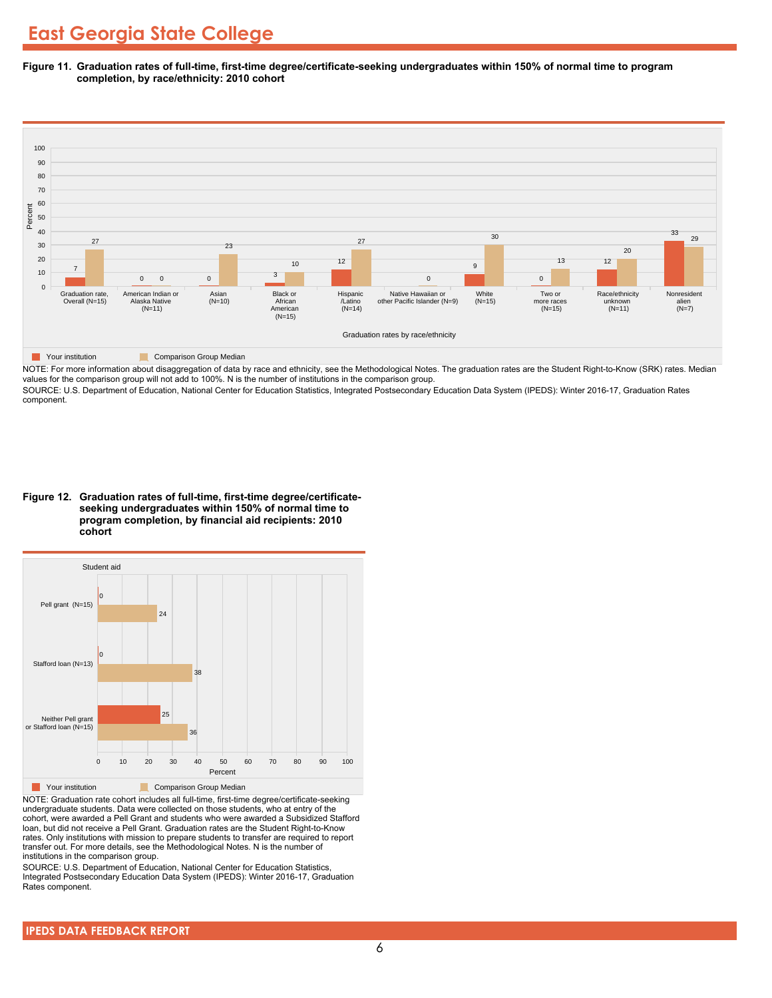**Figure 11. Graduation rates of full-time, first-time degree/certificate-seeking undergraduates within 150% of normal time to program completion, by race/ethnicity: 2010 cohort**



NOTE: For more information about disaggregation of data by race and ethnicity, see the Methodological Notes. The graduation rates are the Student Right-to-Know (SRK) rates. Median values for the comparison group will not add to 100%. N is the number of institutions in the comparison group.

SOURCE: U.S. Department of Education, National Center for Education Statistics, Integrated Postsecondary Education Data System (IPEDS): Winter 2016-17, Graduation Rates component.

**Figure 12. Graduation rates of full-time, first-time degree/certificateseeking undergraduates within 150% of normal time to program completion, by financial aid recipients: 2010 cohort**



NOTE: Graduation rate cohort includes all full-time, first-time degree/certificate-seeking undergraduate students. Data were collected on those students, who at entry of the cohort, were awarded a Pell Grant and students who were awarded a Subsidized Stafford loan, but did not receive a Pell Grant. Graduation rates are the Student Right-to-Know rates. Only institutions with mission to prepare students to transfer are required to report transfer out. For more details, see the Methodological Notes. N is the number of institutions in the comparison group.

SOURCE: U.S. Department of Education, National Center for Education Statistics, Integrated Postsecondary Education Data System (IPEDS): Winter 2016-17, Graduation Rates component.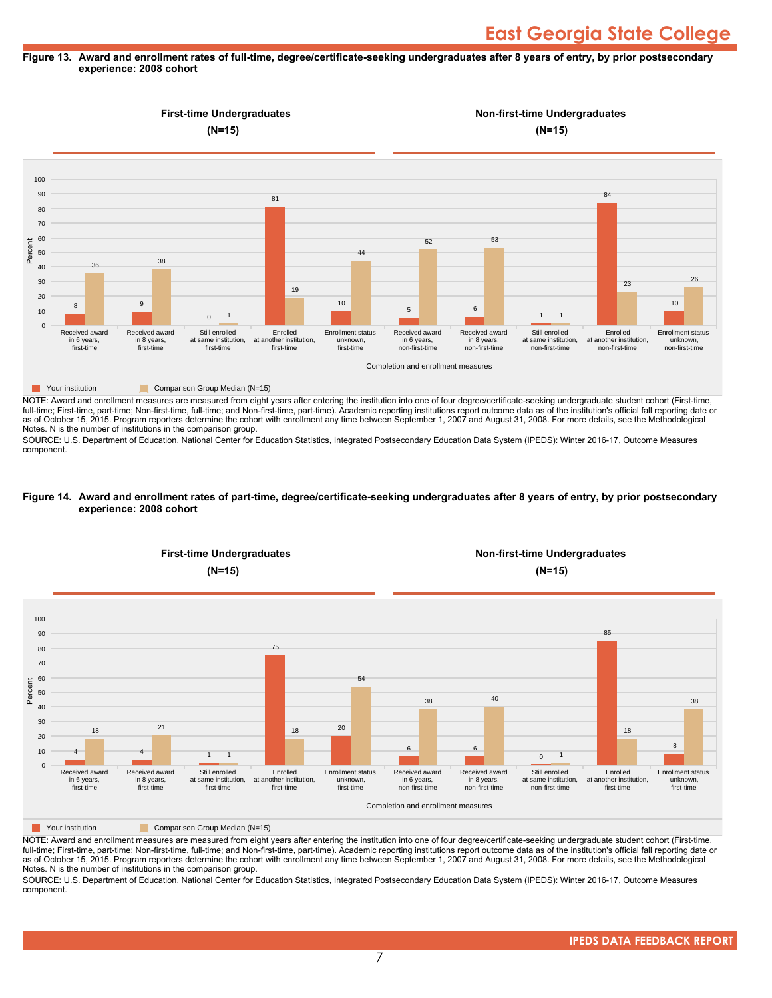## **Figure 13. Award and enrollment rates of full-time, degree/certificate-seeking undergraduates after 8 years of entry, by prior postsecondary experience: 2008 cohort**



NOTE: Award and enrollment measures are measured from eight years after entering the institution into one of four degree/certificate-seeking undergraduate student cohort (First-time, full-time; First-time, part-time; Non-first-time, full-time; and Non-first-time, part-time). Academic reporting institutions report outcome data as of the institution's official fall reporting date or as of October 15, 2015. Program reporters determine the cohort with enrollment any time between September 1, 2007 and August 31, 2008. For more details, see the Methodological Notes. N is the number of institutions in the comparison group.

SOURCE: U.S. Department of Education, National Center for Education Statistics, Integrated Postsecondary Education Data System (IPEDS): Winter 2016-17, Outcome Measures component.

#### **Figure 14. Award and enrollment rates of part-time, degree/certificate-seeking undergraduates after 8 years of entry, by prior postsecondary experience: 2008 cohort**



NOTE: Award and enrollment measures are measured from eight years after entering the institution into one of four degree/certificate-seeking undergraduate student cohort (First-time, full-time; First-time, part-time; Non-first-time, full-time; and Non-first-time, part-time). Academic reporting institutions report outcome data as of the institution's official fall reporting date or as of October 15, 2015. Program reporters determine the cohort with enrollment any time between September 1, 2007 and August 31, 2008. For more details, see the Methodological Notes. N is the number of institutions in the comparison group.

SOURCE: U.S. Department of Education, National Center for Education Statistics, Integrated Postsecondary Education Data System (IPEDS): Winter 2016-17, Outcome Measures component.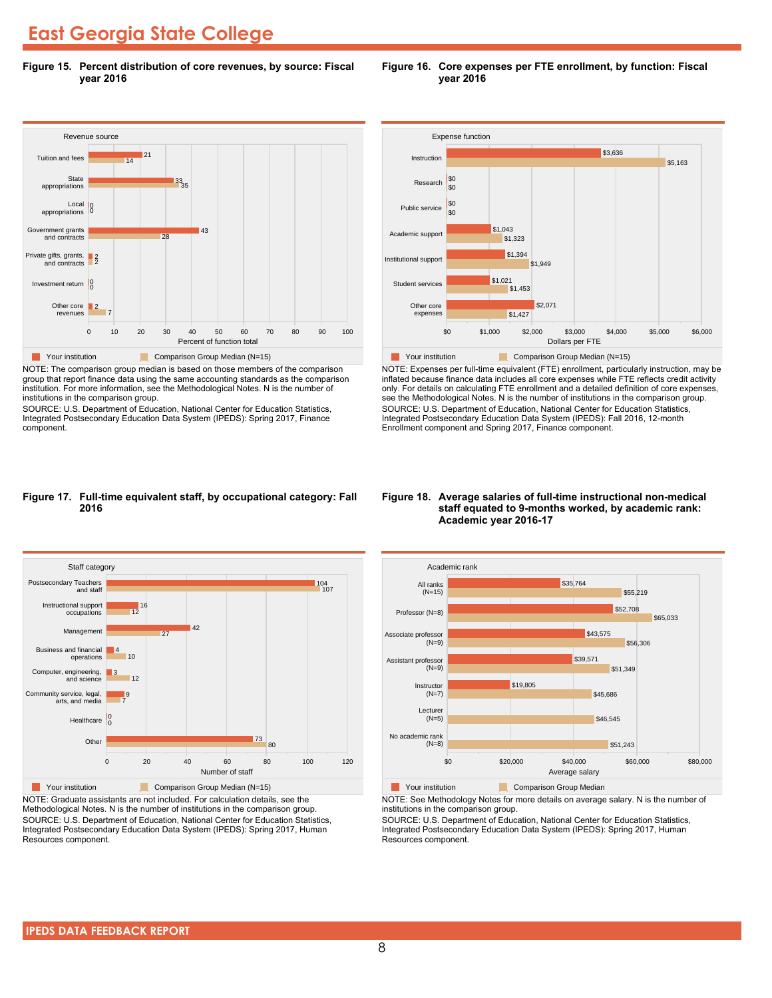**Figure 15. Percent distribution of core revenues, by source: Fiscal year 2016**



NOTE: The comparison group median is based on those members of the comparison group that report finance data using the same accounting standards as the comparison institution. For more information, see the Methodological Notes. N is the number of institutions in the comparison group.

SOURCE: U.S. Department of Education, National Center for Education Statistics, Integrated Postsecondary Education Data System (IPEDS): Spring 2017, Finance component.





NOTE: Expenses per full-time equivalent (FTE) enrollment, particularly instruction, may be inflated because finance data includes all core expenses while FTE reflects credit activity only. For details on calculating FTE enrollment and a detailed definition of core expenses, see the Methodological Notes. N is the number of institutions in the comparison group. SOURCE: U.S. Department of Education, National Center for Education Statistics, Integrated Postsecondary Education Data System (IPEDS): Fall 2016, 12-month Enrollment component and Spring 2017, Finance component.

### **Figure 17. Full-time equivalent staff, by occupational category: Fall 2016**



NOTE: Graduate assistants are not included. For calculation details, see the Methodological Notes. N is the number of institutions in the comparison group. SOURCE: U.S. Department of Education, National Center for Education Statistics, Integrated Postsecondary Education Data System (IPEDS): Spring 2017, Human Resources component.

### **Figure 18. Average salaries of full-time instructional non-medical staff equated to 9-months worked, by academic rank: Academic year 2016-17**



**The Comparison Group Median**<br> **Comparison Group Median** 

NOTE: See Methodology Notes for more details on average salary. N is the number of institutions in the comparison group.

SOURCE: U.S. Department of Education, National Center for Education Statistics, Integrated Postsecondary Education Data System (IPEDS): Spring 2017, Human Resources component.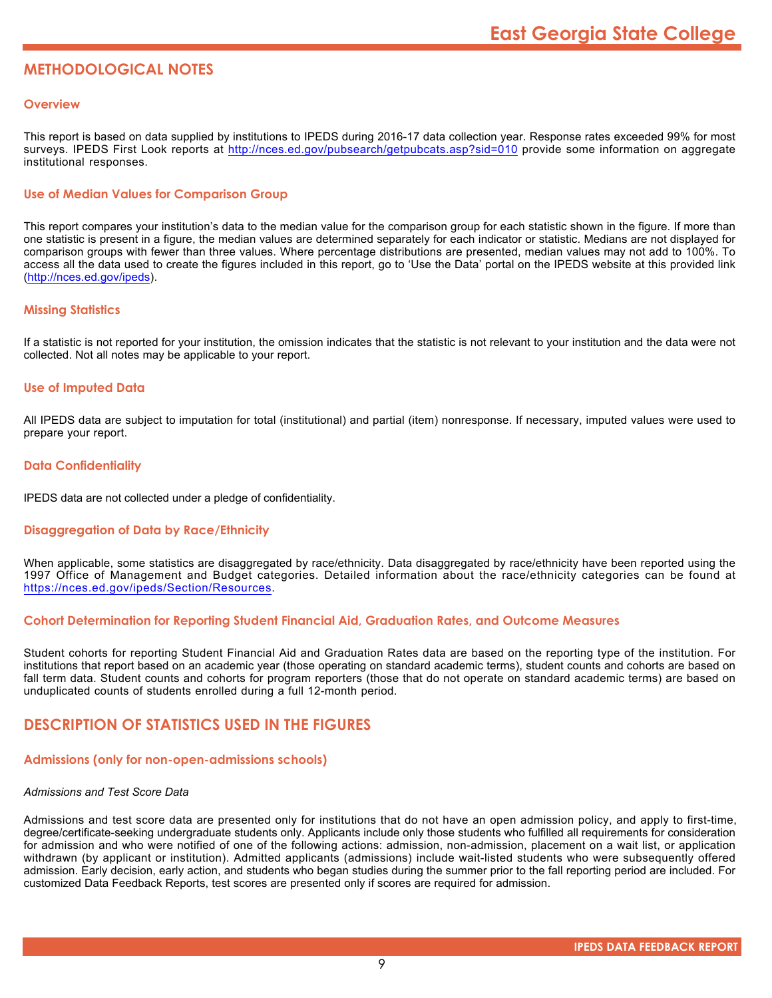## **METHODOLOGICAL NOTES**

## **Overview**

This report is based on data supplied by institutions to IPEDS during 2016-17 data collection year. Response rates exceeded 99% for most surveys. IPEDS First Look reports at <http://nces.ed.gov/pubsearch/getpubcats.asp?sid=010> provide some information on aggregate institutional responses.

## **Use of Median Values for Comparison Group**

This report compares your institution's data to the median value for the comparison group for each statistic shown in the figure. If more than one statistic is present in a figure, the median values are determined separately for each indicator or statistic. Medians are not displayed for comparison groups with fewer than three values. Where percentage distributions are presented, median values may not add to 100%. To access all the data used to create the figures included in this report, go to 'Use the Data' portal on the IPEDS website at this provided link (<http://nces.ed.gov/ipeds>).

## **Missing Statistics**

If a statistic is not reported for your institution, the omission indicates that the statistic is not relevant to your institution and the data were not collected. Not all notes may be applicable to your report.

## **Use of Imputed Data**

All IPEDS data are subject to imputation for total (institutional) and partial (item) nonresponse. If necessary, imputed values were used to prepare your report.

## **Data Confidentiality**

IPEDS data are not collected under a pledge of confidentiality.

## **Disaggregation of Data by Race/Ethnicity**

When applicable, some statistics are disaggregated by race/ethnicity. Data disaggregated by race/ethnicity have been reported using the 1997 Office of Management and Budget categories. Detailed information about the race/ethnicity categories can be found at <https://nces.ed.gov/ipeds/Section/Resources>.

## **Cohort Determination for Reporting Student Financial Aid, Graduation Rates, and Outcome Measures**

Student cohorts for reporting Student Financial Aid and Graduation Rates data are based on the reporting type of the institution. For institutions that report based on an academic year (those operating on standard academic terms), student counts and cohorts are based on fall term data. Student counts and cohorts for program reporters (those that do not operate on standard academic terms) are based on unduplicated counts of students enrolled during a full 12-month period.

## **DESCRIPTION OF STATISTICS USED IN THE FIGURES**

## **Admissions (only for non-open-admissions schools)**

## *Admissions and Test Score Data*

Admissions and test score data are presented only for institutions that do not have an open admission policy, and apply to first-time, degree/certificate-seeking undergraduate students only. Applicants include only those students who fulfilled all requirements for consideration for admission and who were notified of one of the following actions: admission, non-admission, placement on a wait list, or application withdrawn (by applicant or institution). Admitted applicants (admissions) include wait-listed students who were subsequently offered admission. Early decision, early action, and students who began studies during the summer prior to the fall reporting period are included. For customized Data Feedback Reports, test scores are presented only if scores are required for admission.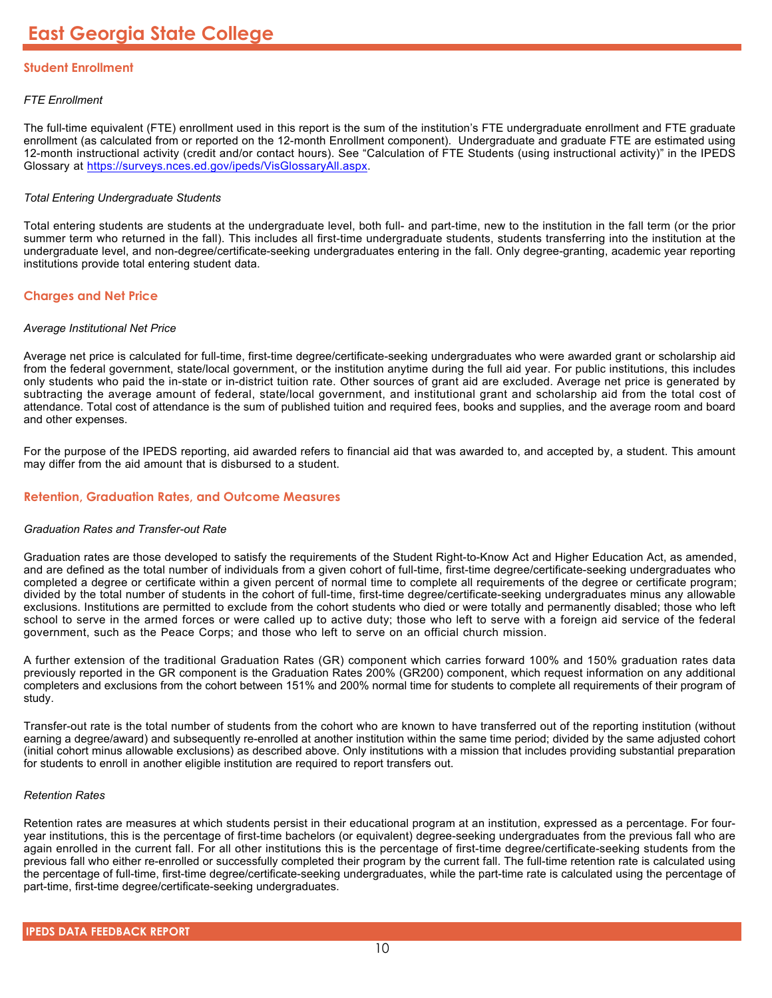## **Student Enrollment**

## *FTE Enrollment*

The full-time equivalent (FTE) enrollment used in this report is the sum of the institution's FTE undergraduate enrollment and FTE graduate enrollment (as calculated from or reported on the 12-month Enrollment component). Undergraduate and graduate FTE are estimated using 12-month instructional activity (credit and/or contact hours). See "Calculation of FTE Students (using instructional activity)" in the IPEDS Glossary at <https://surveys.nces.ed.gov/ipeds/VisGlossaryAll.aspx>.

## *Total Entering Undergraduate Students*

Total entering students are students at the undergraduate level, both full- and part-time, new to the institution in the fall term (or the prior summer term who returned in the fall). This includes all first-time undergraduate students, students transferring into the institution at the undergraduate level, and non-degree/certificate-seeking undergraduates entering in the fall. Only degree-granting, academic year reporting institutions provide total entering student data.

## **Charges and Net Price**

## *Average Institutional Net Price*

Average net price is calculated for full-time, first-time degree/certificate-seeking undergraduates who were awarded grant or scholarship aid from the federal government, state/local government, or the institution anytime during the full aid year. For public institutions, this includes only students who paid the in-state or in-district tuition rate. Other sources of grant aid are excluded. Average net price is generated by subtracting the average amount of federal, state/local government, and institutional grant and scholarship aid from the total cost of attendance. Total cost of attendance is the sum of published tuition and required fees, books and supplies, and the average room and board and other expenses.

For the purpose of the IPEDS reporting, aid awarded refers to financial aid that was awarded to, and accepted by, a student. This amount may differ from the aid amount that is disbursed to a student.

## **Retention, Graduation Rates, and Outcome Measures**

## *Graduation Rates and Transfer-out Rate*

Graduation rates are those developed to satisfy the requirements of the Student Right-to-Know Act and Higher Education Act, as amended, and are defined as the total number of individuals from a given cohort of full-time, first-time degree/certificate-seeking undergraduates who completed a degree or certificate within a given percent of normal time to complete all requirements of the degree or certificate program; divided by the total number of students in the cohort of full-time, first-time degree/certificate-seeking undergraduates minus any allowable exclusions. Institutions are permitted to exclude from the cohort students who died or were totally and permanently disabled; those who left school to serve in the armed forces or were called up to active duty; those who left to serve with a foreign aid service of the federal government, such as the Peace Corps; and those who left to serve on an official church mission.

A further extension of the traditional Graduation Rates (GR) component which carries forward 100% and 150% graduation rates data previously reported in the GR component is the Graduation Rates 200% (GR200) component, which request information on any additional completers and exclusions from the cohort between 151% and 200% normal time for students to complete all requirements of their program of study.

Transfer-out rate is the total number of students from the cohort who are known to have transferred out of the reporting institution (without earning a degree/award) and subsequently re-enrolled at another institution within the same time period; divided by the same adjusted cohort (initial cohort minus allowable exclusions) as described above. Only institutions with a mission that includes providing substantial preparation for students to enroll in another eligible institution are required to report transfers out.

## *Retention Rates*

Retention rates are measures at which students persist in their educational program at an institution, expressed as a percentage. For fouryear institutions, this is the percentage of first-time bachelors (or equivalent) degree-seeking undergraduates from the previous fall who are again enrolled in the current fall. For all other institutions this is the percentage of first-time degree/certificate-seeking students from the previous fall who either re-enrolled or successfully completed their program by the current fall. The full-time retention rate is calculated using the percentage of full-time, first-time degree/certificate-seeking undergraduates, while the part-time rate is calculated using the percentage of part-time, first-time degree/certificate-seeking undergraduates.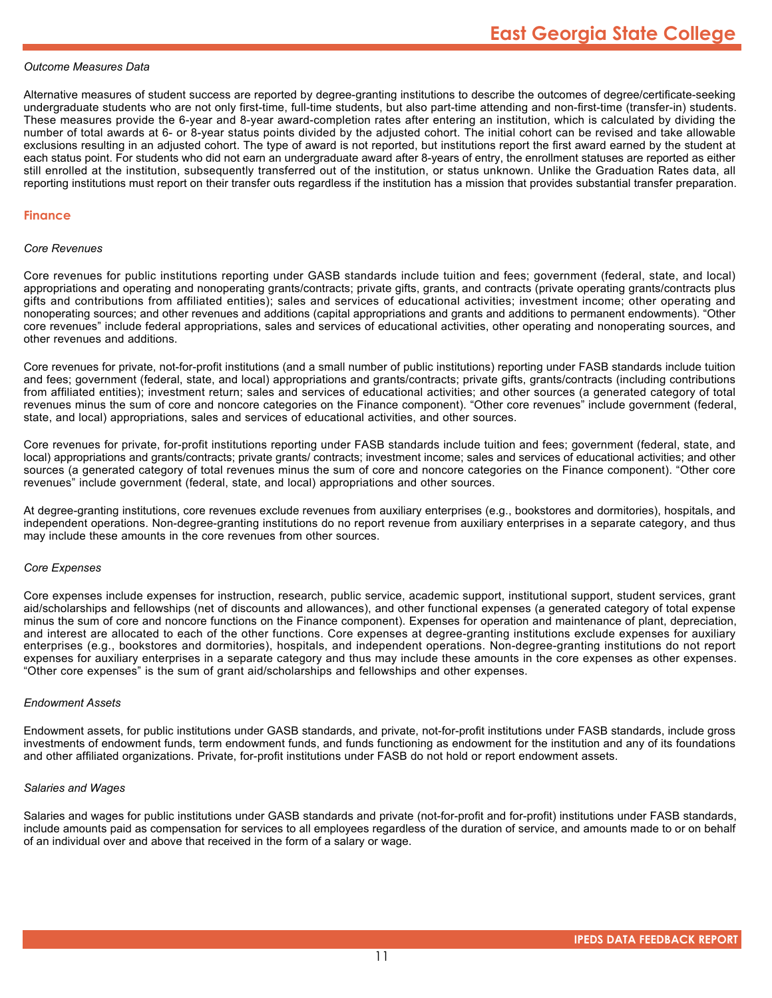## *Outcome Measures Data*

Alternative measures of student success are reported by degree-granting institutions to describe the outcomes of degree/certificate-seeking undergraduate students who are not only first-time, full-time students, but also part-time attending and non-first-time (transfer-in) students. These measures provide the 6-year and 8-year award-completion rates after entering an institution, which is calculated by dividing the number of total awards at 6- or 8-year status points divided by the adjusted cohort. The initial cohort can be revised and take allowable exclusions resulting in an adjusted cohort. The type of award is not reported, but institutions report the first award earned by the student at each status point. For students who did not earn an undergraduate award after 8-years of entry, the enrollment statuses are reported as either still enrolled at the institution, subsequently transferred out of the institution, or status unknown. Unlike the Graduation Rates data, all reporting institutions must report on their transfer outs regardless if the institution has a mission that provides substantial transfer preparation.

### **Finance**

#### *Core Revenues*

Core revenues for public institutions reporting under GASB standards include tuition and fees; government (federal, state, and local) appropriations and operating and nonoperating grants/contracts; private gifts, grants, and contracts (private operating grants/contracts plus gifts and contributions from affiliated entities); sales and services of educational activities; investment income; other operating and nonoperating sources; and other revenues and additions (capital appropriations and grants and additions to permanent endowments). "Other core revenues" include federal appropriations, sales and services of educational activities, other operating and nonoperating sources, and other revenues and additions.

Core revenues for private, not-for-profit institutions (and a small number of public institutions) reporting under FASB standards include tuition and fees; government (federal, state, and local) appropriations and grants/contracts; private gifts, grants/contracts (including contributions from affiliated entities); investment return; sales and services of educational activities; and other sources (a generated category of total revenues minus the sum of core and noncore categories on the Finance component). "Other core revenues" include government (federal, state, and local) appropriations, sales and services of educational activities, and other sources.

Core revenues for private, for-profit institutions reporting under FASB standards include tuition and fees; government (federal, state, and local) appropriations and grants/contracts; private grants/ contracts; investment income; sales and services of educational activities; and other sources (a generated category of total revenues minus the sum of core and noncore categories on the Finance component). "Other core revenues" include government (federal, state, and local) appropriations and other sources.

At degree-granting institutions, core revenues exclude revenues from auxiliary enterprises (e.g., bookstores and dormitories), hospitals, and independent operations. Non-degree-granting institutions do no report revenue from auxiliary enterprises in a separate category, and thus may include these amounts in the core revenues from other sources.

#### *Core Expenses*

Core expenses include expenses for instruction, research, public service, academic support, institutional support, student services, grant aid/scholarships and fellowships (net of discounts and allowances), and other functional expenses (a generated category of total expense minus the sum of core and noncore functions on the Finance component). Expenses for operation and maintenance of plant, depreciation, and interest are allocated to each of the other functions. Core expenses at degree-granting institutions exclude expenses for auxiliary enterprises (e.g., bookstores and dormitories), hospitals, and independent operations. Non-degree-granting institutions do not report expenses for auxiliary enterprises in a separate category and thus may include these amounts in the core expenses as other expenses. "Other core expenses" is the sum of grant aid/scholarships and fellowships and other expenses.

## *Endowment Assets*

Endowment assets, for public institutions under GASB standards, and private, not-for-profit institutions under FASB standards, include gross investments of endowment funds, term endowment funds, and funds functioning as endowment for the institution and any of its foundations and other affiliated organizations. Private, for-profit institutions under FASB do not hold or report endowment assets.

## *Salaries and Wages*

Salaries and wages for public institutions under GASB standards and private (not-for-profit and for-profit) institutions under FASB standards, include amounts paid as compensation for services to all employees regardless of the duration of service, and amounts made to or on behalf of an individual over and above that received in the form of a salary or wage.